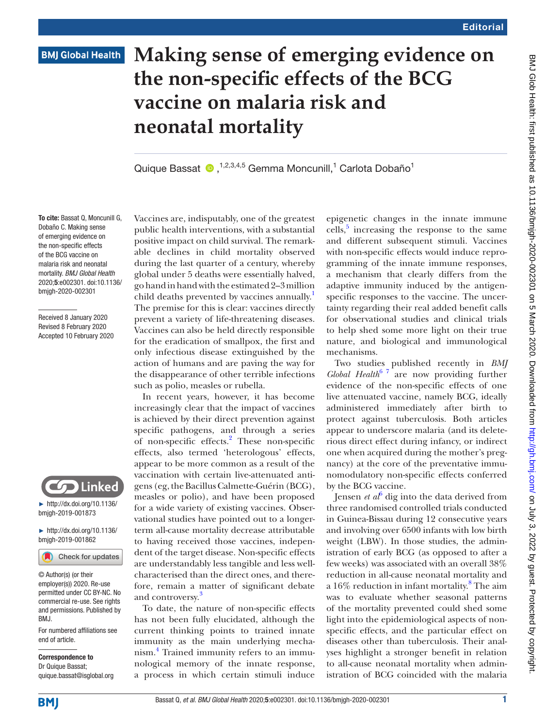# **BMJ Global Health**

# **Making sense of emerging evidence on the non-specific effects of the BCG vaccine on malaria risk and neonatal mortality**

Quique Bassat (D, <sup>1,2,3,4,5</sup> Gemma Moncunill,<sup>1</sup> Carlota Dobaño<sup>1</sup>

To cite: Bassat Q, Moncunill G, Dobaño C. Making sense of emerging evidence on the non-specific effects of the BCG vaccine on malaria risk and neonatal mortality. *BMJ Global Health* 2020;5:e002301. doi:10.1136/ bmjgh-2020-002301

Received 8 January 2020 Revised 8 February 2020 Accepted 10 February 2020



► [http://dx.doi.org/10.1136/](http://dx.doi.org/10.1136/bmjgh-2019-001873) [bmjgh-2019-001873](http://dx.doi.org/10.1136/bmjgh-2019-001873)

► [http://dx.doi.org/10.1136/](http://dx.doi.org/10.1136/bmjgh-2019-001862) [bmjgh-2019-001862](http://dx.doi.org/10.1136/bmjgh-2019-001862)



© Author(s) (or their employer(s)) 2020. Re-use permitted under CC BY-NC. No commercial re-use. See rights and permissions. Published by BMJ.

For numbered affiliations see end of article.

Correspondence to Dr Quique Bassat; quique.bassat@isglobal.org Vaccines are, indisputably, one of the greatest public health interventions, with a substantial positive impact on child survival. The remarkable declines in child mortality observed during the last quarter of a century, whereby global under 5 deaths were essentially halved, go hand in hand with the estimated 2–3million child deaths prevented by vaccines annually.<sup>1</sup> The premise for this is clear: vaccines directly prevent a variety of life-threatening diseases. Vaccines can also be held directly responsible for the eradication of smallpox, the first and only infectious disease extinguished by the action of humans and are paving the way for the disappearance of other terrible infections such as polio, measles or rubella.

In recent years, however, it has become increasingly clear that the impact of vaccines is achieved by their direct prevention against specific pathogens, and through a series of non-specific effects.<sup>[2](#page-2-1)</sup> These non-specific effects, also termed 'heterologous' effects, appear to be more common as a result of the vaccination with certain live-attenuated antigens (eg, the Bacillus Calmette-Guérin (BCG), measles or polio), and have been proposed for a wide variety of existing vaccines. Observational studies have pointed out to a longerterm all-cause mortality decrease attributable to having received those vaccines, independent of the target disease. Non-specific effects are understandably less tangible and less wellcharacterised than the direct ones, and therefore, remain a matter of significant debate and controversy.<sup>[3](#page-2-2)</sup>

To date, the nature of non-specific effects has not been fully elucidated, although the current thinking points to trained innate immunity as the main underlying mechanism[.4](#page-2-3) Trained immunity refers to an immunological memory of the innate response, a process in which certain stimuli induce

epigenetic changes in the innate immune cells,<sup>[5](#page-2-4)</sup> increasing the response to the same and different subsequent stimuli. Vaccines with non-specific effects would induce reprogramming of the innate immune responses, a mechanism that clearly differs from the adaptive immunity induced by the antigenspecific responses to the vaccine. The uncertainty regarding their real added benefit calls for observational studies and clinical trials to help shed some more light on their true nature, and biological and immunological mechanisms.

Two studies published recently in *BMJ Global Health*[6 7](#page-2-5) are now providing further evidence of the non-specific effects of one live attenuated vaccine, namely BCG, ideally administered immediately after birth to protect against tuberculosis. Both articles appear to underscore malaria (and its deleterious direct effect during infancy, or indirect one when acquired during the mother's pregnancy) at the core of the preventative immunomodulatory non-specific effects conferred by the BCG vaccine.

Jensen *et al*<sup> $6$ </sup> dig into the data derived from three randomised controlled trials conducted in Guinea-Bissau during 12 consecutive years and involving over 6500 infants with low birth weight (LBW). In those studies, the administration of early BCG (as opposed to after a few weeks) was associated with an overall 38% reduction in all-cause neonatal mortality and a 16% reduction in infant mortality.<sup>8</sup> The aim was to evaluate whether seasonal patterns of the mortality prevented could shed some light into the epidemiological aspects of nonspecific effects, and the particular effect on diseases other than tuberculosis. Their analyses highlight a stronger benefit in relation to all-cause neonatal mortality when administration of BCG coincided with the malaria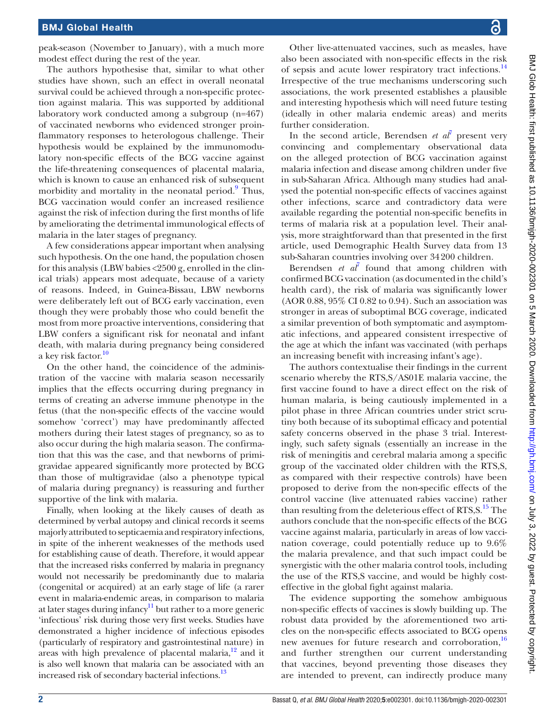peak-season (November to January), with a much more modest effect during the rest of the year.

The authors hypothesise that, similar to what other studies have shown, such an effect in overall neonatal survival could be achieved through a non-specific protection against malaria. This was supported by additional laboratory work conducted among a subgroup (n=467) of vaccinated newborns who evidenced stronger proinflammatory responses to heterologous challenge. Their hypothesis would be explained by the immunomodulatory non-specific effects of the BCG vaccine against the life-threatening consequences of placental malaria, which is known to cause an enhanced risk of subsequent morbidity and mortality in the neonatal period.<sup>9</sup> Thus, BCG vaccination would confer an increased resilience against the risk of infection during the first months of life by ameliorating the detrimental immunological effects of malaria in the later stages of pregnancy.

A few considerations appear important when analysing such hypothesis. On the one hand, the population chosen for this analysis (LBW babies <2500 g, enrolled in the clinical trials) appears most adequate, because of a variety of reasons. Indeed, in Guinea-Bissau, LBW newborns were deliberately left out of BCG early vaccination, even though they were probably those who could benefit the most from more proactive interventions, considering that LBW confers a significant risk for neonatal and infant death, with malaria during pregnancy being considered a key risk factor.<sup>[10](#page-2-8)</sup>

On the other hand, the coincidence of the administration of the vaccine with malaria season necessarily implies that the effects occurring during pregnancy in terms of creating an adverse immune phenotype in the fetus (that the non-specific effects of the vaccine would somehow 'correct') may have predominantly affected mothers during their latest stages of pregnancy, so as to also occur during the high malaria season. The confirmation that this was the case, and that newborns of primigravidae appeared significantly more protected by BCG than those of multigravidae (also a phenotype typical of malaria during pregnancy) is reassuring and further supportive of the link with malaria.

Finally, when looking at the likely causes of death as determined by verbal autopsy and clinical records it seems majorly attributed to septicaemia and respiratory infections, in spite of the inherent weaknesses of the methods used for establishing cause of death. Therefore, it would appear that the increased risks conferred by malaria in pregnancy would not necessarily be predominantly due to malaria (congenital or acquired) at an early stage of life (a rarer event in malaria-endemic areas, in comparison to malaria at later stages during infancy<sup>11</sup> but rather to a more generic 'infectious' risk during those very first weeks. Studies have demonstrated a higher incidence of infectious episodes (particularly of respiratory and gastrointestinal nature) in areas with high prevalence of placental malaria, $12$  and it is also well known that malaria can be associated with an increased risk of secondary bacterial infections.<sup>13</sup>

Other live-attenuated vaccines, such as measles, have also been associated with non-specific effects in the risk of sepsis and acute lower respiratory tract infections.<sup>14</sup> Irrespective of the true mechanisms underscoring such associations, the work presented establishes a plausible and interesting hypothesis which will need future testing (ideally in other malaria endemic areas) and merits further consideration.

In the second article, Berendsen *et al*<sup> $\bar{l}$ </sup> present very convincing and complementary observational data on the alleged protection of BCG vaccination against malaria infection and disease among children under five in sub-Saharan Africa. Although many studies had analysed the potential non-specific effects of vaccines against other infections, scarce and contradictory data were available regarding the potential non-specific benefits in terms of malaria risk at a population level. Their analysis, more straightforward than that presented in the first article, used Demographic Health Survey data from 13 sub-Saharan countries involving over 34200 children.

Berendsen *et al*<sup>[7](#page-2-13)</sup> found that among children with confirmed BCG vaccination (as documented in the child's health card), the risk of malaria was significantly lower (AOR 0.88, 95% CI 0.82 to 0.94). Such an association was stronger in areas of suboptimal BCG coverage, indicated a similar prevention of both symptomatic and asymptomatic infections, and appeared consistent irrespective of the age at which the infant was vaccinated (with perhaps an increasing benefit with increasing infant's age).

The authors contextualise their findings in the current scenario whereby the RTS,S/AS01E malaria vaccine, the first vaccine found to have a direct effect on the risk of human malaria, is being cautiously implemented in a pilot phase in three African countries under strict scrutiny both because of its suboptimal efficacy and potential safety concerns observed in the phase 3 trial. Interestingly, such safety signals (essentially an increase in the risk of meningitis and cerebral malaria among a specific group of the vaccinated older children with the RTS,S, as compared with their respective controls) have been proposed to derive from the non-specific effects of the control vaccine (live attenuated rabies vaccine) rather than resulting from the deleterious effect of  $RTS$ , $S<sup>15</sup>$  $S<sup>15</sup>$  $S<sup>15</sup>$ . The authors conclude that the non-specific effects of the BCG vaccine against malaria, particularly in areas of low vaccination coverage, could potentially reduce up to 9.6% the malaria prevalence, and that such impact could be synergistic with the other malaria control tools, including the use of the RTS,S vaccine, and would be highly costeffective in the global fight against malaria.

The evidence supporting the somehow ambiguous non-specific effects of vaccines is slowly building up. The robust data provided by the aforementioned two articles on the non-specific effects associated to BCG opens new avenues for future research and corroboration,<sup>16</sup> and further strengthen our current understanding that vaccines, beyond preventing those diseases they are intended to prevent, can indirectly produce many